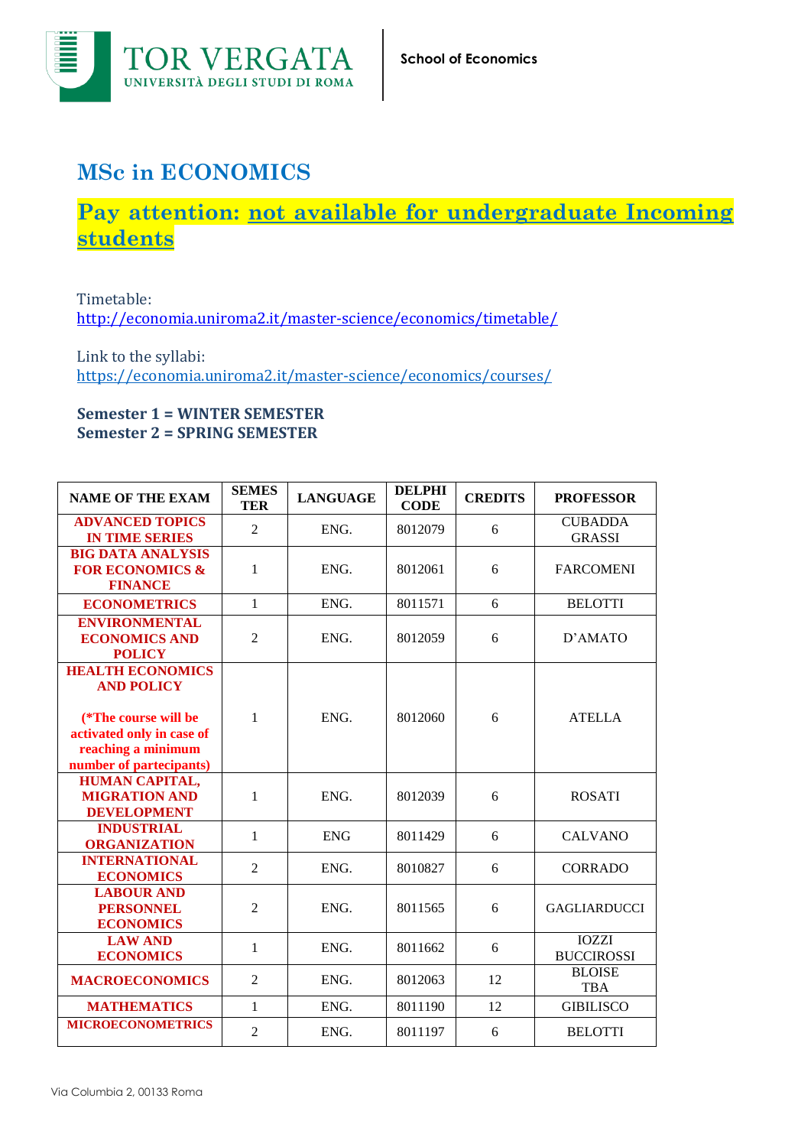

## **MSc in ECONOMICS**

## **Pay attention: not available for undergraduate Incoming students**

Timetable: <http://economia.uniroma2.it/master-science/economics/timetable/>

Link to the syllabi: <https://economia.uniroma2.it/master-science/economics/courses/>

## **Semester 1 = WINTER SEMESTER Semester 2 = SPRING SEMESTER**

| <b>NAME OF THE EXAM</b>                                                                                                                            | <b>SEMES</b><br>TER | <b>LANGUAGE</b> | <b>DELPHI</b><br><b>CODE</b> | <b>CREDITS</b> | <b>PROFESSOR</b>                  |
|----------------------------------------------------------------------------------------------------------------------------------------------------|---------------------|-----------------|------------------------------|----------------|-----------------------------------|
| <b>ADVANCED TOPICS</b><br><b>IN TIME SERIES</b>                                                                                                    | $\overline{2}$      | ENG.            | 8012079                      | 6              | <b>CUBADDA</b><br><b>GRASSI</b>   |
| <b>BIG DATA ANALYSIS</b><br><b>FOR ECONOMICS &amp;</b><br><b>FINANCE</b>                                                                           | 1                   | ENG.            | 8012061                      | 6              | <b>FARCOMENI</b>                  |
| <b>ECONOMETRICS</b>                                                                                                                                | $\mathbf{1}$        | ENG.            | 8011571                      | 6              | <b>BELOTTI</b>                    |
| <b>ENVIRONMENTAL</b><br><b>ECONOMICS AND</b><br><b>POLICY</b>                                                                                      | 2                   | ENG.            | 8012059                      | 6              | D'AMATO                           |
| <b>HEALTH ECONOMICS</b><br><b>AND POLICY</b><br>(*The course will be<br>activated only in case of<br>reaching a minimum<br>number of partecipants) | $\mathbf{1}$        | ENG.            | 8012060                      | 6              | <b>ATELLA</b>                     |
| <b>HUMAN CAPITAL,</b><br><b>MIGRATION AND</b><br><b>DEVELOPMENT</b>                                                                                | 1                   | ENG.            | 8012039                      | 6              | <b>ROSATI</b>                     |
| <b>INDUSTRIAL</b><br><b>ORGANIZATION</b>                                                                                                           | $\mathbf{1}$        | <b>ENG</b>      | 8011429                      | 6              | <b>CALVANO</b>                    |
| <b>INTERNATIONAL</b><br><b>ECONOMICS</b>                                                                                                           | $\overline{2}$      | ENG.            | 8010827                      | 6              | <b>CORRADO</b>                    |
| <b>LABOUR AND</b><br><b>PERSONNEL</b><br><b>ECONOMICS</b>                                                                                          | $\overline{2}$      | ENG.            | 8011565                      | 6              | <b>GAGLIARDUCCI</b>               |
| <b>LAW AND</b><br><b>ECONOMICS</b>                                                                                                                 | $\mathbf{1}$        | ENG.            | 8011662                      | 6              | <b>IOZZI</b><br><b>BUCCIROSSI</b> |
| <b>MACROECONOMICS</b>                                                                                                                              | $\overline{2}$      | ENG.            | 8012063                      | 12             | <b>BLOISE</b><br><b>TBA</b>       |
| <b>MATHEMATICS</b>                                                                                                                                 | $\mathbf{1}$        | ENG.            | 8011190                      | 12             | <b>GIBILISCO</b>                  |
| <b>MICROECONOMETRICS</b>                                                                                                                           | $\overline{2}$      | ENG.            | 8011197                      | 6              | <b>BELOTTI</b>                    |